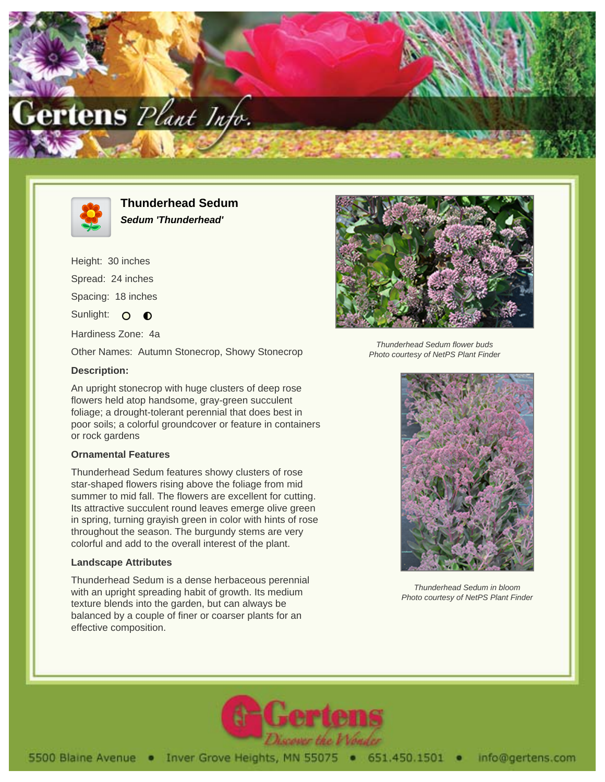



**Thunderhead Sedum Sedum 'Thunderhead'**

Height: 30 inches Spread: 24 inches Spacing: 18 inches Sunlight: O **O** Hardiness Zone: 4a Other Names: Autumn Stonecrop, Showy Stonecrop **Description:**

An upright stonecrop with huge clusters of deep rose flowers held atop handsome, gray-green succulent foliage; a drought-tolerant perennial that does best in poor soils; a colorful groundcover or feature in containers or rock gardens

## **Ornamental Features**

Thunderhead Sedum features showy clusters of rose star-shaped flowers rising above the foliage from mid summer to mid fall. The flowers are excellent for cutting. Its attractive succulent round leaves emerge olive green in spring, turning grayish green in color with hints of rose throughout the season. The burgundy stems are very colorful and add to the overall interest of the plant.

## **Landscape Attributes**

Thunderhead Sedum is a dense herbaceous perennial with an upright spreading habit of growth. Its medium texture blends into the garden, but can always be balanced by a couple of finer or coarser plants for an effective composition.



Thunderhead Sedum flower buds Photo courtesy of NetPS Plant Finder



Thunderhead Sedum in bloom Photo courtesy of NetPS Plant Finder